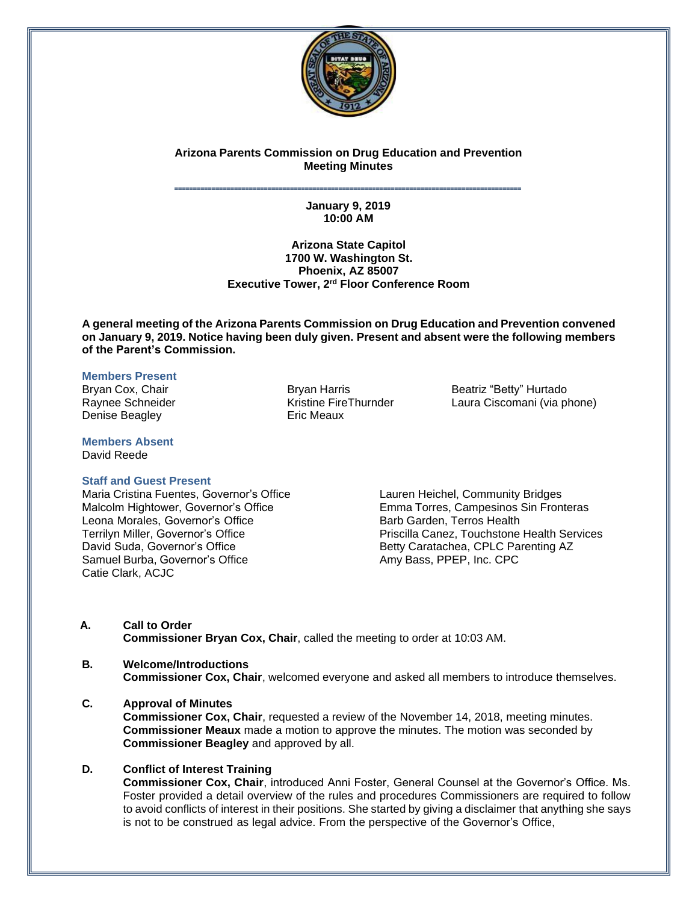

# **Arizona Parents Commission on Drug Education and Prevention Meeting Minutes**

### **˭˭˭˭˭˭˭˭˭˭˭˭˭˭˭˭˭˭˭˭˭˭˭˭˭˭˭˭˭˭˭˭˭˭˭˭˭˭˭˭˭˭˭˭˭˭˭˭˭˭˭˭˭˭˭˭˭˭˭˭˭˭˭˭˭˭˭˭˭˭˭˭˭˭˭˭˭˭˭˭˭˭˭˭˭˭˭˭˭˭˭˭˭ January 9, 2019 10:00 AM**

## **Arizona State Capitol 1700 W. Washington St. Phoenix, AZ 85007 Executive Tower, 2 rd Floor Conference Room**

**A general meeting of the Arizona Parents Commission on Drug Education and Prevention convened on January 9, 2019. Notice having been duly given. Present and absent were the following members of the Parent's Commission.**

## **Members Present**

Denise Beagley **Example 20** Eric Meaux

**Members Absent** David Reede

## **Staff and Guest Present**

Maria Cristina Fuentes, Governor's Office Malcolm Hightower, Governor's Office Leona Morales, Governor's Office Terrilyn Miller, Governor's Office David Suda, Governor's Office Samuel Burba, Governor's Office Catie Clark, ACJC

Bryan Cox, Chair Bryan Harris Beatriz "Betty" Hurtado Raynee Schneider The Thurnder Kristine FireThurnder The Laura Ciscomani (via phone)

> Lauren Heichel, Community Bridges Emma Torres, Campesinos Sin Fronteras Barb Garden, Terros Health Priscilla Canez, Touchstone Health Services Betty Caratachea, CPLC Parenting AZ Amy Bass, PPEP, Inc. CPC

**A. Call to Order Commissioner Bryan Cox, Chair**, called the meeting to order at 10:03 AM.

# **B. Welcome/Introductions Commissioner Cox, Chair**, welcomed everyone and asked all members to introduce themselves.

**C. Approval of Minutes**

**Commissioner Cox, Chair**, requested a review of the November 14, 2018, meeting minutes. **Commissioner Meaux** made a motion to approve the minutes. The motion was seconded by **Commissioner Beagley** and approved by all.

# **D. Conflict of Interest Training**

**Commissioner Cox, Chair**, introduced Anni Foster, General Counsel at the Governor's Office. Ms. Foster provided a detail overview of the rules and procedures Commissioners are required to follow to avoid conflicts of interest in their positions. She started by giving a disclaimer that anything she says is not to be construed as legal advice. From the perspective of the Governor's Office,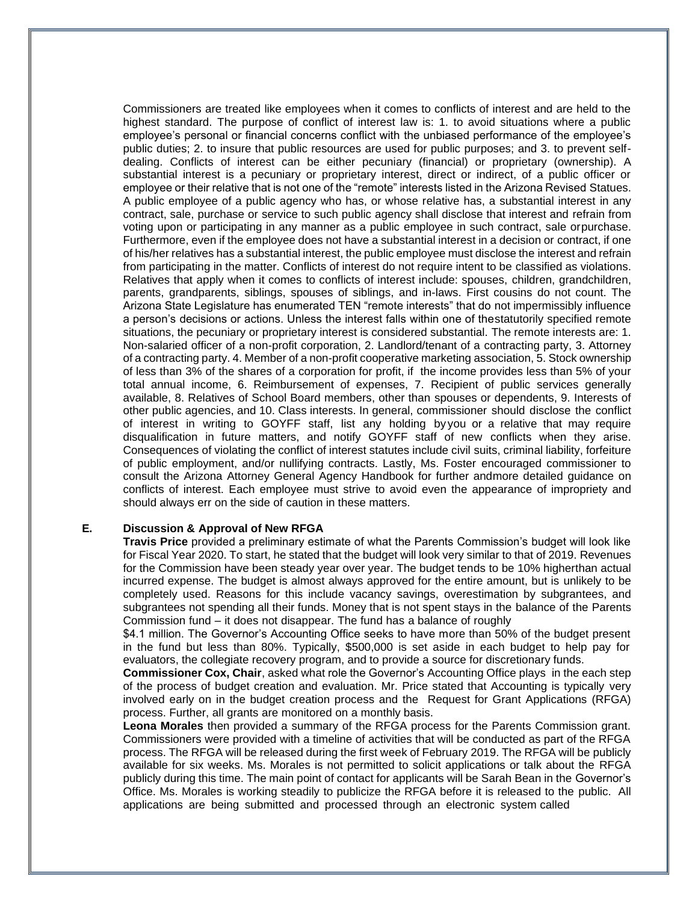Commissioners are treated like employees when it comes to conflicts of interest and are held to the highest standard. The purpose of conflict of interest law is: 1. to avoid situations where a public employee's personal or financial concerns conflict with the unbiased performance of the employee's public duties; 2. to insure that public resources are used for public purposes; and 3. to prevent selfdealing. Conflicts of interest can be either pecuniary (financial) or proprietary (ownership). A substantial interest is a pecuniary or proprietary interest, direct or indirect, of a public officer or employee or their relative that is not one of the "remote" interests listed in the Arizona Revised Statues. A public employee of a public agency who has, or whose relative has, a substantial interest in any contract, sale, purchase or service to such public agency shall disclose that interest and refrain from voting upon or participating in any manner as a public employee in such contract, sale orpurchase. Furthermore, even if the employee does not have a substantial interest in a decision or contract, if one of his/her relatives has a substantial interest, the public employee must disclose the interest and refrain from participating in the matter. Conflicts of interest do not require intent to be classified as violations. Relatives that apply when it comes to conflicts of interest include: spouses, children, grandchildren, parents, grandparents, siblings, spouses of siblings, and in-laws. First cousins do not count. The Arizona State Legislature has enumerated TEN "remote interests" that do not impermissibly influence a person's decisions or actions. Unless the interest falls within one of thestatutorily specified remote situations, the pecuniary or proprietary interest is considered substantial. The remote interests are: 1. Non-salaried officer of a non-profit corporation, 2. Landlord/tenant of a contracting party, 3. Attorney of a contracting party. 4. Member of a non-profit cooperative marketing association, 5. Stock ownership of less than 3% of the shares of a corporation for profit, if the income provides less than 5% of your total annual income, 6. Reimbursement of expenses, 7. Recipient of public services generally available, 8. Relatives of School Board members, other than spouses or dependents, 9. Interests of other public agencies, and 10. Class interests. In general, commissioner should disclose the conflict of interest in writing to GOYFF staff, list any holding by you or a relative that may require disqualification in future matters, and notify GOYFF staff of new conflicts when they arise. Consequences of violating the conflict of interest statutes include civil suits, criminal liability, forfeiture of public employment, and/or nullifying contracts. Lastly, Ms. Foster encouraged commissioner to consult the Arizona Attorney General Agency Handbook for further andmore detailed guidance on conflicts of interest. Each employee must strive to avoid even the appearance of impropriety and should always err on the side of caution in these matters.

## **E. Discussion & Approval of New RFGA**

**Travis Price** provided a preliminary estimate of what the Parents Commission's budget will look like for Fiscal Year 2020. To start, he stated that the budget will look very similar to that of 2019. Revenues for the Commission have been steady year over year. The budget tends to be 10% higherthan actual incurred expense. The budget is almost always approved for the entire amount, but is unlikely to be completely used. Reasons for this include vacancy savings, overestimation by subgrantees, and subgrantees not spending all their funds. Money that is not spent stays in the balance of the Parents Commission fund – it does not disappear. The fund has a balance of roughly

\$4.1 million. The Governor's Accounting Office seeks to have more than 50% of the budget present in the fund but less than 80%. Typically, \$500,000 is set aside in each budget to help pay for evaluators, the collegiate recovery program, and to provide a source for discretionary funds.

**Commissioner Cox, Chair**, asked what role the Governor's Accounting Office plays in the each step of the process of budget creation and evaluation. Mr. Price stated that Accounting is typically very involved early on in the budget creation process and the Request for Grant Applications (RFGA) process. Further, all grants are monitored on a monthly basis.

**Leona Morales** then provided a summary of the RFGA process for the Parents Commission grant. Commissioners were provided with a timeline of activities that will be conducted as part of the RFGA process. The RFGA will be released during the first week of February 2019. The RFGA will be publicly available for six weeks. Ms. Morales is not permitted to solicit applications or talk about the RFGA publicly during this time. The main point of contact for applicants will be Sarah Bean in the Governor's Office. Ms. Morales is working steadily to publicize the RFGA before it is released to the public. All applications are being submitted and processed through an electronic system called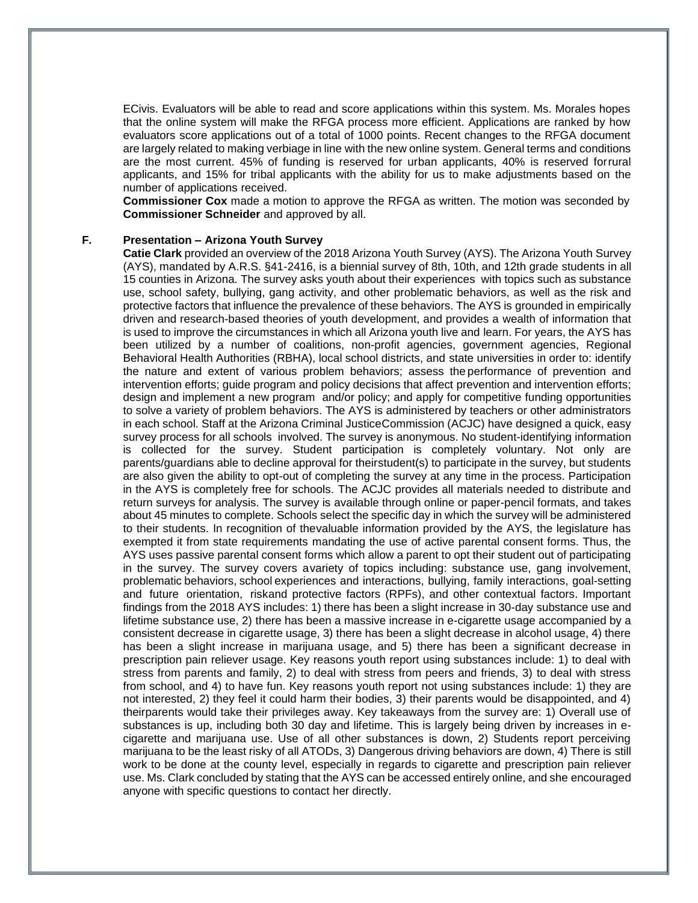ECivis. Evaluators will be able to read and score applications within this system. Ms. Morales hopes that the online system will make the RFGA process more efficient. Applications are ranked by how evaluators score applications out of a total of 1000 points. Recent changes to the RFGA document are largely related to making verbiage in line with the new online system. General terms and conditions are the most current. 45% of funding is reserved for urban applicants, 40% is reserved forrural applicants, and 15% for tribal applicants with the ability for us to make adjustments based on the number of applications received.

**Commissioner Cox** made a motion to approve the RFGA as written. The motion was seconded by **Commissioner Schneider** and approved by all.

## **F. Presentation – Arizona Youth Survey**

**Catie Clark** provided an overview of the 2018 Arizona Youth Survey (AYS). The Arizona Youth Survey (AYS), mandated by A.R.S. §41-2416, is a biennial survey of 8th, 10th, and 12th grade students in all 15 counties in Arizona. The survey asks youth about their experiences with topics such as substance use, school safety, bullying, gang activity, and other problematic behaviors, as well as the risk and protective factors that influence the prevalence of these behaviors. The AYS is grounded in empirically driven and research-based theories of youth development, and provides a wealth of information that is used to improve the circumstances in which all Arizona youth live and learn. For years, the AYS has been utilized by a number of coalitions, non-profit agencies, government agencies, Regional Behavioral Health Authorities (RBHA), local school districts, and state universities in order to: identify the nature and extent of various problem behaviors; assess the performance of prevention and intervention efforts; guide program and policy decisions that affect prevention and intervention efforts; design and implement a new program and/or policy; and apply for competitive funding opportunities to solve a variety of problem behaviors. The AYS is administered by teachers or other administrators in each school. Staff at the Arizona Criminal JusticeCommission (ACJC) have designed a quick, easy survey process for all schools involved. The survey is anonymous. No student-identifying information is collected for the survey. Student participation is completely voluntary. Not only are parents/guardians able to decline approval for theirstudent(s) to participate in the survey, but students are also given the ability to opt-out of completing the survey at any time in the process. Participation in the AYS is completely free for schools. The ACJC provides all materials needed to distribute and return surveys for analysis. The survey is available through online or paper-pencil formats, and takes about 45 minutes to complete. Schools select the specific day in which the survey will be administered to their students. In recognition of thevaluable information provided by the AYS, the legislature has exempted it from state requirements mandating the use of active parental consent forms. Thus, the AYS uses passive parental consent forms which allow a parent to opt their student out of participating in the survey. The survey covers avariety of topics including: substance use, gang involvement, problematic behaviors, school experiences and interactions, bullying, family interactions, goal-setting and future orientation, riskand protective factors (RPFs), and other contextual factors. Important findings from the 2018 AYS includes: 1) there has been a slight increase in 30-day substance use and lifetime substance use, 2) there has been a massive increase in e-cigarette usage accompanied by a consistent decrease in cigarette usage, 3) there has been a slight decrease in alcohol usage, 4) there has been a slight increase in marijuana usage, and 5) there has been a significant decrease in prescription pain reliever usage. Key reasons youth report using substances include: 1) to deal with stress from parents and family, 2) to deal with stress from peers and friends, 3) to deal with stress from school, and 4) to have fun. Key reasons youth report not using substances include: 1) they are not interested, 2) they feel it could harm their bodies, 3) their parents would be disappointed, and 4) theirparents would take their privileges away. Key takeaways from the survey are: 1) Overall use of substances is up, including both 30 day and lifetime. This is largely being driven by increases in ecigarette and marijuana use. Use of all other substances is down, 2) Students report perceiving marijuana to be the least risky of all ATODs, 3) Dangerous driving behaviors are down, 4) There is still work to be done at the county level, especially in regards to cigarette and prescription pain reliever use. Ms. Clark concluded by stating that the AYS can be accessed entirely online, and she encouraged anyone with specific questions to contact her directly.